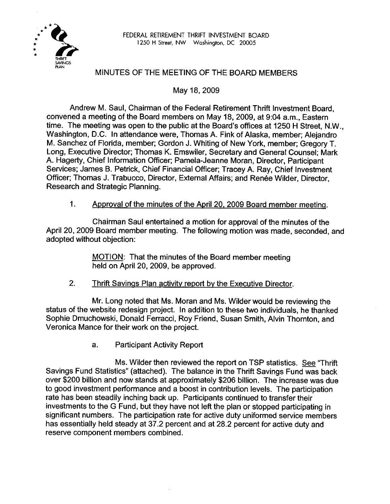

# MINUTES OF THE MEETING OF THE BOARD MEMBERS

May 18,2009

Andrew M. Saul, Chairman of the Federal Retirement Thrift lnvestment Board, convened a meeting of the Board members on May 18,2009, at **9:04** a.m., Eastern time. The meeting was open to the public at the Board's offices at 1250 H Street, N.W., Washington, D.C. In attendance were, Thomas A. Fink of Alaska, member; Alejandro M. Sanchez of Florida, member; Gordon J. Whiting of New York, member; Gregory T. Long, Executive Director; Thomas K. Emswiler, Secretary and General Counsel; Mark A. Hagerty, Chief Information Officer; Pamela-Jeanne Moran, Director, Participant Services; James B. Petrick, Chief Financial Officer; Tracey A. Ray, Chief Investment Officer; Thomas J. Trabucco, Director, External Affairs; and Renée Wilder, Director, Research and Strategic Planning.

## 1. Approval of the minutes of the April 20, 2009 Board member meeting.

Chairman Saul entertained a motion for approval of the minutes of the April 20,2009 Board member meeting. The following motion was made, seconded, and adopted without objection:

> MOTION: That the minutes of the Board member meeting held on April 20, 2009, be approved.

2. **Thrift Savings Plan activity report by the Executive Director.** 

Mr. Long noted that Ms. Moran and Ms. Wilder would be reviewing the status of the website redesign project. In addition to these two individuals, he thanked Sophie Dmuchowski, Donald Ferracci, Roy Friend, Susan Smith, Alvin Thornton, and Veronica Mance for their work on the project.

a. Participant Activity Report

**Ms.** Wilder then reviewed the report on TSP statistics. **See** "Thrift Savings Fund Statistics" (attached). The balance in the Thrift Savings Fund was back over \$200 billion and now stands at approximately \$206 billion. The increase was due to good investment performance and a boost in contribution levels. The participation rate has been steadily inching back up. Participants continued to transfer their investments to the G Fund, but they have not left the plan or stopped participating in significant numbers. The participation rate for active duty uniformed service members has essentially held steady at 37.2 percent and at 28.2 percent for active duty and reserve component members combined.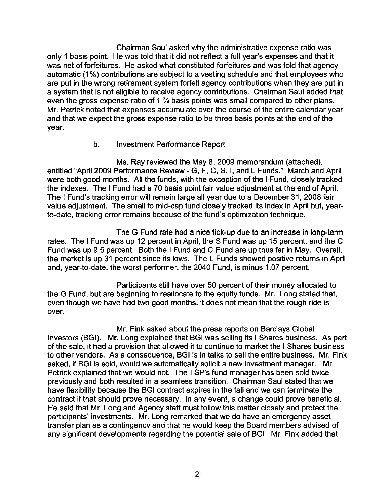Chairman Saul asked why the administrative expense ratio was only 1 basis point. He was told that it did not reflect a full year's expenses and that it was net of forfeitures. He asked what constituted forfeitures and was told that agency automatic (1%) contributions are subiect to a vesting schedule and that employees who are put in the wrong retirement system forfeit agency contributions when they are put in a system that is not eligible to receive agency contributions. Chairman Saul added that even the gross expense ratio of 1 % basis points was small compared to other plans. Mr. Petrick noted that expenses accumulate over the course of the entire calendar year and that we expect the gross expense ratio to be three basis points at the end of the year.

## b. Investment Performance Report

Ms. Ray reviewed the May 8, 2009 memorandum (attached), entitled "April 2009 Performance Review - G, F, C, S, I, and L Funds." March and April were both good months. All the funds, with the exception of the I Fund, closely tracked the indexes. The I Fund had a 70 basis point fair value adjustment at the end of April. The I Fund's tracking error will remain large all year due to a December 31, 2008 fair value adjustment. The small to mid-cap fund closely tracked its index in April but, yearto-date, tracking error remains because of the fund's optimization technique.

The G Fund rate had a nice tick-up due to an increase in long-term rates. The I Fund was up 12 percent in April, the S Fund was up **15** percent, and the C Fund was up 9.5 percent. Both the I Fund and C Fund are up thus far in May. Overall, the market is up 31 percent since its lows. The L Funds showed positive returns in April and, year-to-date, the worst performer, the 2040 Fund, is minus 1.07 percent.

Participants still have over 50 percent of their money allocated to the **G** Fund, but are beginning to reallocate to the equity funds. Mr. Long stated that, even though we have had two good months, it does not mean that the rough ride is over.

Mr. Fink asked about the press reports on Barclays Global Investors (BGI). **Mr.** Long explained that **BG1** was selling its I Shares business. As part of the sale, it had a provision that allowed it to continue to market the I Shares business to other vendors. As a consequence, BGI is in talks to sell the entire business. Mr. Fink asked, if BGI is sold, would we automatically solicit a new investment manager. Mr. Petrick explained that we would not. The TSP's fund manager has been sold twice previously and both resulted in a seamless transition. Chairman Saul stated that we have flexibility because the BGI contract expires in the fall and we can terminate the contract if that should prove necessary. In any event, a change could prove beneficial. He said that Mr. Long and Agency staff must follow this matter closely and protect the participants' investments. Mr. Long remarked that we do have an emergency asset transfer plan as a contingency and that he would keep the Board members advised of any significant developments regarding the potential sale of BGI. Mr. Fink added that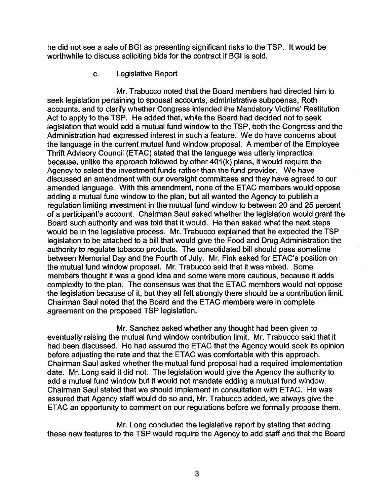he did not see a sale of BGI as presenting significant risks to the TSP. It would be worthwhile to discuss soliciting bids for the contract if BGI is sold.

c. Legislative Report

Mr. Trabucco noted that the Board members had directed him to seek legislation pertaining to spousal accounts, administrative subpoenas, Roth accounts, and to clarify whether Congress intended the Mandatory Victims' Restitution Act to apply to the TSP. He added that, while the Board had decided not to seek legislation that would add a mutual fund window to the TSP, both the Congress and the Administration had expressed interest in such a feature. We do have concerns about the language in the current mutual fund window proposal. A member of the Employee Thrift Advisory Council (ETAC) stated that the language was utterly impractical because, unlike the approach followed by other 401 (k) plans, it would require the Agency to select the investment funds rather than the fund provider. We have discussed an amendment with our oversight committees and they have agreed to our amended language. With this amendment, none of the ETAC members would oppose adding a mutual fund window to the plan, but all wanted the Agency to publish a regulation limiting investment in the mutual fund window to between 20 and 25 percent of a participant's account. Chairman Saul asked whether the legislation would grant the Board such authority and was told that it would. He then asked what the next steps would be in the legislative process. Mr. Trabucco explained that he expected the TSP legislation to be attached to a bill that would give the Food and Drug Administration the authority to regulate tobacco products. The consolidated bill should pass sometime between Memorial Day and the Fourth of July. Mr. Fink asked for ETAC's position on the mutual fund window proposal. Mr. Trabucco said that it was mixed. Some members thought it was a good idea and some were more cautious, because it adds complexity to the plan. The consensus was that the ETAC members would not oppose the legislation because of it, but they all felt strongly there should be a contribution limit. Chairman Saul noted that the Board and the ETAC members were in complete agreement on the proposed TSP legislation.

Mr. Sanchez asked whether any thought had been given to eventually raising the mutual fund window contribution limit. Mr. Trabucco said that it had been discussed. He had assured the ETAC that the Agency would seek its opinion before adjusting the rate and that the ETAC was comfortable with this approach. Chairman Saul asked whether the mutual fund proposal had a required implementation date. Mr. Long said it did not. The legislation would give the Agency the authority to add a mutual fund window but it would not mandate adding a mutual fund window. Chairman Saul stated that we should implement in consultation with ETAC. He was assured that Agency staff would do so and, Mr. Trabucco added, we always give the ETAC an opportunity to comment on our regulations before we formally propose them.

Mr. Long concluded the legislative report by stating that adding these new features to the TSP would require the Agency to add staff and that the Board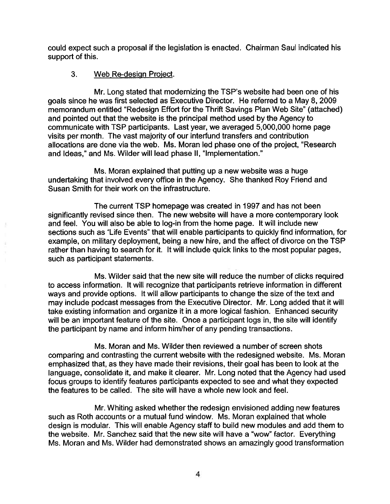could expect such a proposal if the legislation is enacted. Chairman Saul indicated his support of this.

# 3. Web Re-design Proiect.

Mr. Long stated that modernizing the TSP's website had been one of his goals since he was first selected as Executive Director. He referred to a May 8,2009 memorandum entitled "Redesign Effort for the Thrift Savings Plan Web Site" (attached) and pointed out that the website is the principal method used by the Agency to communicate with TSP participants. Last year, we averaged 5,000,000 home page visits per month. The vast majority of our interfund transfers and contribution allocations are done via the web. Ms. Moran led phase one of the project, "Research and Ideas," and Ms. Wilder will lead phase II, "Implementation."

Ms. Moran explained that putting up a new website was a huge undertaking that involved every office in the Agency. She thanked Roy Friend and Susan Smith for their work on the infrastructure.

The current TSP homepage was created in 1997 and has not been significantly revised since then. The new website will have a more contemporary look and feel. You will also be able to log-in from the home page. It will include new sections such as "Life Events" that will enable participants to quickly find information, for example, on military deployment, being a new hire, and the affect of divorce on the TSP rather than having to search for it. It will include quick links to the most popular pages, such as participant statements.

Ms. Wilder said that the new site will reduce the number of clicks required to access information. It will recognize that participants retrieve information in different ways and provide options. It will allow participants to change the size of the text and may include podcast messages from the Executive Director. Mr. Long added that it will take existing information and organize it in a more logical fashion. Enhanced security will be an important feature of the site. Once a participant logs in, the site will identify the participant by name and inform himlher of any pending transactions.

Ms. Moran and Ms. Wilder then reviewed a number of screen shots comparing and contrasting the current website with the redesigned website. Ms. Moran emphasized that, as they have made their revisions, their goal has been to look at the language, consolidate it, and make it clearer. Mr. Long noted that the Agency had used focus groups to identify features participants expected to see and what they expected the features to be called. The site will have a whole new look and feel.

Mr. Whiting asked whether the redesign envisioned adding new features such as Roth accounts or a mutual fund window. Ms. Moran explained that whole design is modular. This will enable Agency staff to build new modules and add them to the website. Mr. Sanchez said that the new site will have a "wow" factor. Everything Ms. Moran and Ms. Wilder had demonstrated shows an amazingly good transformation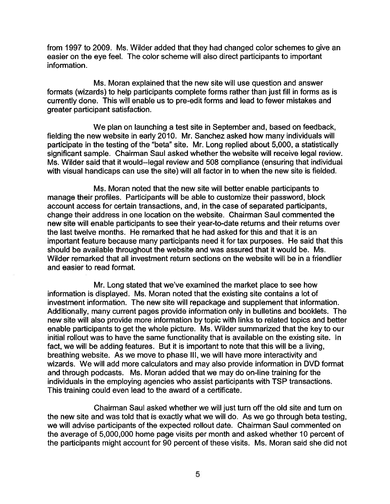from I997 to 2009. Ms. Wilder added that they had changed color schemes to give an easier on the eye feel. The color scheme will also direct participants to important information.

Ms. Moran explained that the new site will use question and answer formats (wizards) to help participants complete forms rather than just fill in forms as is currently done. This will enable us to pre-edit forms and lead to fewer mistakes and greater participant satisfaction.

We plan on launching a test site in September and, based on feedback, fielding the new website in early 2010. Mr. Sanchez asked how many individuals will participate in the testing of the "beta" site. Mr. Long replied about 5,000, a statistically significant sample. Chairman Saul asked whether the website will receive legal review. Ms. Wilder said that it would--legal review and 508 compliance (ensuring that individual with visual handicaps can use the site) will all factor in to when the new site is fielded.

Ms. Moran noted that the new site will better enable participants to manage their profiles. Participants will be able to customize their password, block account access for certain transactions, and, in the case of separated participants, change their address in one location on the website. Chairman Saul commented the new site will enable participants to see their year-to-date returns and their returns over the last twelve months. He remarked that he had asked for this and that it is an important feature because many participants need it for tax purposes. He said that this should be available throughout the website and was assured that it would be. Ms. Wilder remarked that all investment return sections on the website will be in a friendlier and easier to read format.

Mr. Long stated that we've examined the market place to see how information is displayed. Ms. Moran noted that the existing site contains a lot of investment information. The new site will repackage and supplement that information. Additionally, many current pages provide information only in bulletins and booklets. The new site will also provide more information by topic with links to related topics and better enable participants to get the whole picture. Ms. Wilder summarized that the key to our initial rollout was to have the same functionality that is available on the existing site. In fact, we will be adding features. But it is important to note that this will be a living, breathing website. As we move to phase Ill, we will have more interactivity and wizards. We will add more calculators and may also provide information in DVD format and through podcasts. Ms. Moran added that we may do on-line training for the individuals in the employing agencies who assist participants with TSP transactions. This training could even lead to the award of a certificate.

Chairman Saul asked whether we will just turn off the old site and turn on the new site and was told that is exactly what we will do. As we go through beta testing, we will advise participants of the expected rollout date. Chairman Saul commented on the average of 5,000,000 home page visits per month and asked whether **40** percent of the participants might account for 90 percent of these visits. Ms. Moran said she did not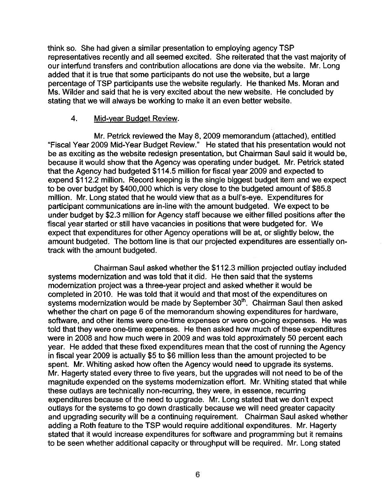think so. She had given a similar presentation to employing agency TSP representatives recently and all seemed excited. She reiterated that the vast majority of our interfund transfers and contribution allocations are done via the website. Mr. Long added that it is true that some participants do not use the website, but a large percentage of TSP participants use the website regularly. He thanked Ms. Moran and Ms. Wilder and said that he is very excited about the new website. He concluded by stating that we will always be working to make it an even better website.

#### 4. Mid-year Budget Review.

Mr. Petrick reviewed the May 8,2009 memorandum (attached), entitled "fiscal Year 2009 Mid-Year Budget Review." He stated that his presentation would not be as exciting as the website redesign presentation, but Chairman Saul said it would be, because it would show that the Agency was operating under budget. Mr. Petrick stated that the Agency had budgeted \$1 14.5 million for fiscal year 2009 and expected to expend \$1 12.2 million. Record keeping is the single biggest budget item and we expect to be over budget by \$400,000 which is very close to the budgeted amount of \$85.8 million. Mr. Long stated that he would view that as a bull's-eye. Expenditures for participant communications are in-line with the amount budgeted. We expect to be under budget by \$2.3 million for Agency staff because we either filled positions after the fiscal year started or still have vacancies in positions that were budgeted for. We expect that expenditures for other Agency operations will be at, or slightly below, the amount budgeted. The bottom line is that our projected expenditures are essentially ontrack with the amount budgeted.

Chairman Saul asked whether the \$1 12.3 million projected outlay included systems modernization and was told that it did. He then said that the systems modernization project was a three-year project and asked whether it would be completed in 2010. He was told that it would and that most of the expenditures on systems modernization would be made by September 30<sup>th</sup>. Chairman Saul then asked whether the chart on page 6 of the memorandum showing expenditures for hardware, software, and other items were one-time expenses or were on-going expenses. He was told that they were one-time expenses. He then asked how much of these expenditures were in 2008 and how much were in 2009 and was told approximately 50 percent each year. He added that these fixed expenditures mean that the cost of running the Agency in fiscal year 2009 is actually \$5 to \$6 million less than the amount projected to be spent. Mr. Whiting asked how often the Agency would need to upgrade its systems. Mr. Hagerty stated every three to five years, but the upgrades will not need to be of the magnitude expended on the systems modernization effort. Mr. Whiting stated that while these outlays are technically non-recurring, they were, in essence, recurring expenditures because of the need to upgrade. Mr. Long stated that we don't expect outlays for the systems to go down drastically because we will need greater capacity and upgrading security will be a continuing requirement. Chairman Saul asked whether adding a Roth feature to the TSP would require additional expenditures. Mr. Hagerty stated that it would increase expenditures for software and programming but it remains to be seen whether additional capacity or throughput will be required. Mr. Long stated